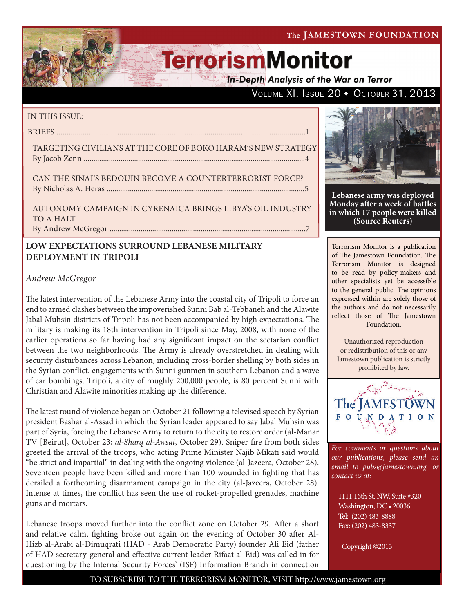VOLUME XI, ISSUE 20 + OCTOBER 31, 2013

# **TerrorismMonitor**

**In-Depth Analysis of the War on Terror** 

### IN THIS ISSUE:

briefs ...........................................................................................................................1

Targeting Civiliansat the Core of Boko Haram's New Strategy

By Jacob Zenn ..................................................................................................................4

CAN THE SINAI'S BEDOUIN BECOME A COUNTERTERRORIST FORCE? by Nicholas A. Heras ......................................................................................................5

Autonomy Campaign in Cyrenaica Brings Libya's Oil Industry TO A HALT By Andrew McGregor .....................................................................................................7

## **LOW EXPECTATIONS SURROUND LEBANESE MILITARY DEPLOYMENT IN TRIPOLI**

## *Andrew McGregor*

The latest intervention of the Lebanese Army into the coastal city of Tripoli to force an end to armed clashes between the impoverished Sunni Bab al-Tebbaneh and the Alawite Jabal Muhsin districts of Tripoli has not been accompanied by high expectations. The military is making its 18th intervention in Tripoli since May, 2008, with none of the earlier operations so far having had any significant impact on the sectarian conflict between the two neighborhoods. The Army is already overstretched in dealing with security disturbances across Lebanon, including cross-border shelling by both sides in the Syrian conflict, engagements with Sunni gunmen in southern Lebanon and a wave of car bombings. Tripoli, a city of roughly 200,000 people, is 80 percent Sunni with Christian and Alawite minorities making up the difference.

The latest round of violence began on October 21 following a televised speech by Syrian president Bashar al-Assad in which the Syrian leader appeared to say Jabal Muhsin was part of Syria, forcing the Lebanese Army to return to the city to restore order (al-Manar TV [Beirut], October 23; *al-Sharq al-Awsat*, October 29). Sniper fire from both sides greeted the arrival of the troops, who acting Prime Minister Najib Mikati said would "be strict and impartial" in dealing with the ongoing violence (al-Jazeera, October 28). Seventeen people have been killed and more than 100 wounded in fighting that has derailed a forthcoming disarmament campaign in the city (al-Jazeera, October 28). Intense at times, the conflict has seen the use of rocket-propelled grenades, machine guns and mortars.

Lebanese troops moved further into the conflict zone on October 29. After a short and relative calm, fighting broke out again on the evening of October 30 after Al-Hizb al-Arabi al-Dimuqrati (HAD - Arab Democratic Party) founder Ali Eid (father of HAD secretary-general and effective current leader Rifaat al-Eid) was called in for questioning by the Internal Security Forces' (ISF) Information Branch in connection



**Lebanese army was deployed Monday after a week of battles in which 17 people were killed (Source Reuters)**

Terrorism Monitor is a publication of The Jamestown Foundation. The Terrorism Monitor is designed to be read by policy-makers and other specialists yet be accessible to the general public. The opinions expressed within are solely those of the authors and do not necessarily reflect those of The Jamestown Foundation.

Unauthorized reproduction or redistribution of this or any Jamestown publication is strictly prohibited by law.



*For comments or questions about our publications, please send an email to pubs@jamestown.org, or contact us at:* 

1111 16th St. NW, Suite #320 Washington, DC • 20036 Tel: (202) 483-8888 Fax: (202) 483-8337

Copyright ©2013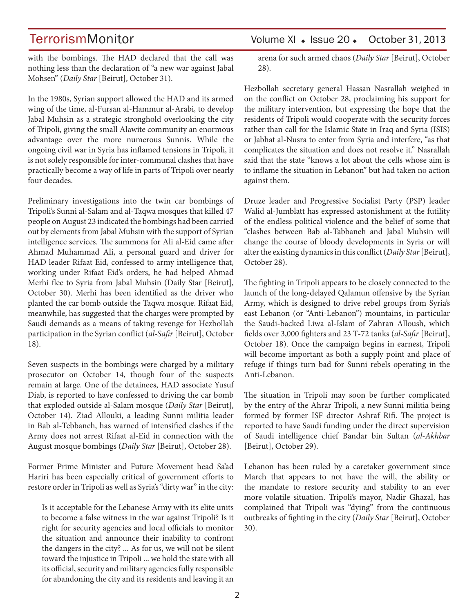with the bombings. The HAD declared that the call was nothing less than the declaration of "a new war against Jabal Mohsen" (*Daily Star* [Beirut], October 31).

In the 1980s, Syrian support allowed the HAD and its armed wing of the time, al-Fursan al-Hammur al-Arabi, to develop Jabal Muhsin as a strategic stronghold overlooking the city of Tripoli, giving the small Alawite community an enormous advantage over the more numerous Sunnis. While the ongoing civil war in Syria has inflamed tensions in Tripoli, it is not solely responsible for inter-communal clashes that have practically become a way of life in parts of Tripoli over nearly four decades.

Preliminary investigations into the twin car bombings of Tripoli's Sunni al-Salam and al-Taqwa mosques that killed 47 people on August 23 indicated the bombings had been carried out by elements from Jabal Muhsin with the support of Syrian intelligence services. The summons for Ali al-Eid came after Ahmad Muhammad Ali, a personal guard and driver for HAD leader Rifaat Eid, confessed to army intelligence that, working under Rifaat Eid's orders, he had helped Ahmad Merhi flee to Syria from Jabal Muhsin (Daily Star [Beirut], October 30). Merhi has been identified as the driver who planted the car bomb outside the Taqwa mosque. Rifaat Eid, meanwhile, has suggested that the charges were prompted by Saudi demands as a means of taking revenge for Hezbollah participation in the Syrian conflict (*al-Safir* [Beirut], October 18).

Seven suspects in the bombings were charged by a military prosecutor on October 14, though four of the suspects remain at large. One of the detainees, HAD associate Yusuf Diab, is reported to have confessed to driving the car bomb that exploded outside al-Salam mosque (*Daily Star* [Beirut], October 14). Ziad Allouki, a leading Sunni militia leader in Bab al-Tebbaneh, has warned of intensified clashes if the Army does not arrest Rifaat al-Eid in connection with the August mosque bombings (*Daily Star* [Beirut], October 28).

Former Prime Minister and Future Movement head Sa'ad Hariri has been especially critical of government efforts to restore order in Tripoli as well as Syria's "dirty war" in the city:

Is it acceptable for the Lebanese Army with its elite units to become a false witness in the war against Tripoli? Is it right for security agencies and local officials to monitor the situation and announce their inability to confront the dangers in the city? ... As for us, we will not be silent toward the injustice in Tripoli ... we hold the state with all its official, security and military agencies fully responsible for abandoning the city and its residents and leaving it an

## TerrorismMonitor Volume XI + Issue 20 + October 31, 2013

arena for such armed chaos (*Daily Star* [Beirut], October 28).

Hezbollah secretary general Hassan Nasrallah weighed in on the conflict on October 28, proclaiming his support for the military intervention, but expressing the hope that the residents of Tripoli would cooperate with the security forces rather than call for the Islamic State in Iraq and Syria (ISIS) or Jabhat al-Nusra to enter from Syria and interfere, "as that complicates the situation and does not resolve it." Nasrallah said that the state "knows a lot about the cells whose aim is to inflame the situation in Lebanon" but had taken no action against them.

Druze leader and Progressive Socialist Party (PSP) leader Walid al-Jumblatt has expressed astonishment at the futility of the endless political violence and the belief of some that "clashes between Bab al-Tabbaneh and Jabal Muhsin will change the course of bloody developments in Syria or will alter the existing dynamics in this conflict (*Daily Star* [Beirut], October 28).

The fighting in Tripoli appears to be closely connected to the launch of the long-delayed Qalamun offensive by the Syrian Army, which is designed to drive rebel groups from Syria's east Lebanon (or "Anti-Lebanon") mountains, in particular the Saudi-backed Liwa al-Islam of Zahran Alloush, which fields over 3,000 fighters and 23 T-72 tanks (*al-Safir* [Beirut], October 18). Once the campaign begins in earnest, Tripoli will become important as both a supply point and place of refuge if things turn bad for Sunni rebels operating in the Anti-Lebanon.

The situation in Tripoli may soon be further complicated by the entry of the Ahrar Tripoli, a new Sunni militia being formed by former ISF director Ashraf Rifi. The project is reported to have Saudi funding under the direct supervision of Saudi intelligence chief Bandar bin Sultan (*al-Akhbar* [Beirut], October 29).

Lebanon has been ruled by a caretaker government since March that appears to not have the will, the ability or the mandate to restore security and stability to an ever more volatile situation. Tripoli's mayor, Nadir Ghazal, has complained that Tripoli was "dying" from the continuous outbreaks of fighting in the city (*Daily Star* [Beirut], October 30).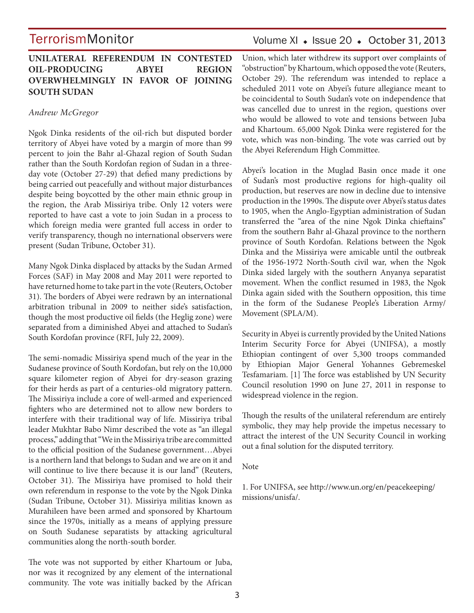### **UNILATERAL REFERENDUM IN CONTESTED OIL-PRODUCING ABYEI REGION OVERWHELMINGLY IN FAVOR OF JOINING SOUTH SUDAN**

### *Andrew McGregor*

Ngok Dinka residents of the oil-rich but disputed border territory of Abyei have voted by a margin of more than 99 percent to join the Bahr al-Ghazal region of South Sudan rather than the South Kordofan region of Sudan in a threeday vote (October 27-29) that defied many predictions by being carried out peacefully and without major disturbances despite being boycotted by the other main ethnic group in the region, the Arab Missiriya tribe. Only 12 voters were reported to have cast a vote to join Sudan in a process to which foreign media were granted full access in order to verify transparency, though no international observers were present (Sudan Tribune, October 31).

Many Ngok Dinka displaced by attacks by the Sudan Armed Forces (SAF) in May 2008 and May 2011 were reported to have returned home to take part in the vote (Reuters, October 31). The borders of Abyei were redrawn by an international arbitration tribunal in 2009 to neither side's satisfaction, though the most productive oil fields (the Heglig zone) were separated from a diminished Abyei and attached to Sudan's South Kordofan province (RFI, July 22, 2009).

The semi-nomadic Missiriya spend much of the year in the Sudanese province of South Kordofan, but rely on the 10,000 square kilometer region of Abyei for dry-season grazing for their herds as part of a centuries-old migratory pattern. The Missiriya include a core of well-armed and experienced fighters who are determined not to allow new borders to interfere with their traditional way of life. Missiriya tribal leader Mukhtar Babo Nimr described the vote as "an illegal process," adding that "We in the Missiriya tribe are committed to the official position of the Sudanese government…Abyei is a northern land that belongs to Sudan and we are on it and will continue to live there because it is our land" (Reuters, October 31). The Missiriya have promised to hold their own referendum in response to the vote by the Ngok Dinka (Sudan Tribune, October 31). Missiriya militias known as Murahileen have been armed and sponsored by Khartoum since the 1970s, initially as a means of applying pressure on South Sudanese separatists by attacking agricultural communities along the north-south border.

The vote was not supported by either Khartoum or Juba, nor was it recognized by any element of the international community. The vote was initially backed by the African

## Volume XI + Issue 20 + October 31, 2013

Union, which later withdrew its support over complaints of "obstruction" by Khartoum, which opposed the vote (Reuters, October 29). The referendum was intended to replace a scheduled 2011 vote on Abyei's future allegiance meant to be coincidental to South Sudan's vote on independence that was cancelled due to unrest in the region, questions over who would be allowed to vote and tensions between Juba and Khartoum. 65,000 Ngok Dinka were registered for the vote, which was non-binding. The vote was carried out by the Abyei Referendum High Committee.

Abyei's location in the Muglad Basin once made it one of Sudan's most productive regions for high-quality oil production, but reserves are now in decline due to intensive production in the 1990s. The dispute over Abyei's status dates to 1905, when the Anglo-Egyptian administration of Sudan transferred the "area of the nine Ngok Dinka chieftains" from the southern Bahr al-Ghazal province to the northern province of South Kordofan. Relations between the Ngok Dinka and the Missiriya were amicable until the outbreak of the 1956-1972 North-South civil war, when the Ngok Dinka sided largely with the southern Anyanya separatist movement. When the conflict resumed in 1983, the Ngok Dinka again sided with the Southern opposition, this time in the form of the Sudanese People's Liberation Army/ Movement (SPLA/M).

Security in Abyei is currently provided by the United Nations Interim Security Force for Abyei (UNIFSA), a mostly Ethiopian contingent of over 5,300 troops commanded by Ethiopian Major General Yohannes Gebremeskel Tesfamariam. [1] The force was established by UN Security Council resolution 1990 on June 27, 2011 in response to widespread violence in the region.

Though the results of the unilateral referendum are entirely symbolic, they may help provide the impetus necessary to attract the interest of the UN Security Council in working out a final solution for the disputed territory.

#### Note

1. For UNIFSA, see http://www.un.org/en/peacekeeping/ missions/unisfa/.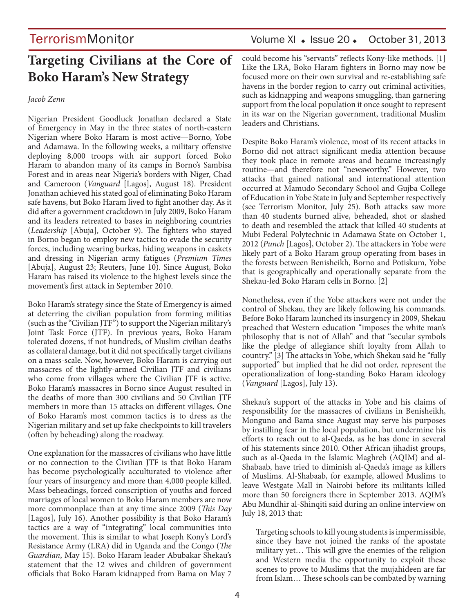## **Targeting Civilians at the Core of Boko Haram's New Strategy**

#### *Jacob Zenn*

Nigerian President Goodluck Jonathan declared a State of Emergency in May in the three states of north-eastern Nigerian where Boko Haram is most active—Borno, Yobe and Adamawa. In the following weeks, a military offensive deploying 8,000 troops with air support forced Boko Haram to abandon many of its camps in Borno's Sambisa Forest and in areas near Nigeria's borders with Niger, Chad and Cameroon (*Vanguard* [Lagos], August 18). President Jonathan achieved his stated goal of eliminating Boko Haram safe havens, but Boko Haram lived to fight another day. As it did after a government crackdown in July 2009, Boko Haram and its leaders retreated to bases in neighboring countries (*Leadership* [Abuja], October 9). The fighters who stayed in Borno began to employ new tactics to evade the security forces, including wearing burkas, hiding weapons in caskets and dressing in Nigerian army fatigues (*Premium Times*  [Abuja], August 23; Reuters, June 10). Since August, Boko Haram has raised its violence to the highest levels since the movement's first attack in September 2010.

Boko Haram's strategy since the State of Emergency is aimed at deterring the civilian population from forming militias (such as the "Civilian JTF") to support the Nigerian military's Joint Task Force (JTF). In previous years, Boko Haram tolerated dozens, if not hundreds, of Muslim civilian deaths as collateral damage, but it did not specifically target civilians on a mass-scale. Now, however, Boko Haram is carrying out massacres of the lightly-armed Civilian JTF and civilians who come from villages where the Civilian JTF is active. Boko Haram's massacres in Borno since August resulted in the deaths of more than 300 civilians and 50 Civilian JTF members in more than 15 attacks on different villages. One of Boko Haram's most common tactics is to dress as the Nigerian military and set up fake checkpoints to kill travelers (often by beheading) along the roadway.

One explanation for the massacres of civilians who have little or no connection to the Civilian JTF is that Boko Haram has become psychologically acculturated to violence after four years of insurgency and more than 4,000 people killed. Mass beheadings, forced conscription of youths and forced marriages of local women to Boko Haram members are now more commonplace than at any time since 2009 (*This Day*  [Lagos], July 16). Another possibility is that Boko Haram's tactics are a way of "integrating" local communities into the movement. This is similar to what Joseph Kony's Lord's Resistance Army (LRA) did in Uganda and the Congo (*The Guardian*, May 15). Boko Haram leader Abubakar Shekau's statement that the 12 wives and children of government officials that Boko Haram kidnapped from Bama on May 7

## TerrorismMonitor Volume XI + Issue 20 + October 31, 2013

could become his "servants" reflects Kony-like methods. [1] Like the LRA, Boko Haram fighters in Borno may now be focused more on their own survival and re-establishing safe havens in the border region to carry out criminal activities, such as kidnapping and weapons smuggling, than garnering support from the local population it once sought to represent in its war on the Nigerian government, traditional Muslim leaders and Christians.

Despite Boko Haram's violence, most of its recent attacks in Borno did not attract significant media attention because they took place in remote areas and became increasingly routine—and therefore not "newsworthy." However, two attacks that gained national and international attention occurred at Mamudo Secondary School and Gujba College of Education in Yobe State in July and September respectively (see Terrorism Monitor, July 25). Both attacks saw more than 40 students burned alive, beheaded, shot or slashed to death and resembled the attack that killed 40 students at Mubi Federal Polytechnic in Adamawa State on October 1, 2012 (*Punch* [Lagos], October 2). The attackers in Yobe were likely part of a Boko Haram group operating from bases in the forests between Benisheikh, Borno and Potiskum, Yobe that is geographically and operationally separate from the Shekau-led Boko Haram cells in Borno. [2]

Nonetheless, even if the Yobe attackers were not under the control of Shekau, they are likely following his commands. Before Boko Haram launched its insurgency in 2009, Shekau preached that Western education "imposes the white man's philosophy that is not of Allah" and that "secular symbols like the pledge of allegiance shift loyalty from Allah to country." [3] The attacks in Yobe, which Shekau said he "fully supported" but implied that he did not order, represent the operationalization of long-standing Boko Haram ideology (*Vanguard* [Lagos], July 13).

Shekau's support of the attacks in Yobe and his claims of responsibility for the massacres of civilians in Benisheikh, Monguno and Bama since August may serve his purposes by instilling fear in the local population, but undermine his efforts to reach out to al-Qaeda, as he has done in several of his statements since 2010. Other African jihadist groups, such as al-Qaeda in the Islamic Maghreb (AQIM) and al-Shabaab, have tried to diminish al-Qaeda's image as killers of Muslims. Al-Shabaab, for example, allowed Muslims to leave Westgate Mall in Nairobi before its militants killed more than 50 foreigners there in September 2013. AQIM's Abu Mundhir al-Shinqiti said during an online interview on July 18, 2013 that:

Targeting schools to kill young students is impermissible, since they have not joined the ranks of the apostate military yet… This will give the enemies of the religion and Western media the opportunity to exploit these scenes to prove to Muslims that the mujahideen are far from Islam… These schools can be combated by warning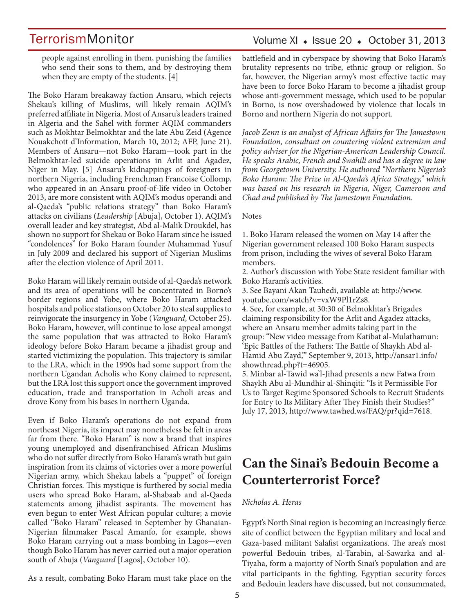people against enrolling in them, punishing the families who send their sons to them, and by destroying them when they are empty of the students. [4]

The Boko Haram breakaway faction Ansaru, which rejects Shekau's killing of Muslims, will likely remain AQIM's preferred affiliate in Nigeria. Most of Ansaru's leaders trained in Algeria and the Sahel with former AQIM commanders such as Mokhtar Belmokhtar and the late Abu Zeid (Agence Nouakchott d'Information, March 10, 2012; AFP, June 21). Members of Ansaru—not Boko Haram—took part in the Belmokhtar-led suicide operations in Arlit and Agadez, Niger in May. [5] Ansaru's kidnappings of foreigners in northern Nigeria, including Frenchman Francoise Collomp, who appeared in an Ansaru proof-of-life video in October 2013, are more consistent with AQIM's modus operandi and al-Qaeda's "public relations strategy" than Boko Haram's attacks on civilians (*Leadership* [Abuja], October 1). AQIM's overall leader and key strategist, Abd al-Malik Droukdel, has shown no support for Shekau or Boko Haram since he issued "condolences" for Boko Haram founder Muhammad Yusuf in July 2009 and declared his support of Nigerian Muslims after the election violence of April 2011.

Boko Haram will likely remain outside of al-Qaeda's network and its area of operations will be concentrated in Borno's border regions and Yobe, where Boko Haram attacked hospitals and police stations on October 20 to steal supplies to reinvigorate the insurgency in Yobe (*Vanguard*, October 25). Boko Haram, however, will continue to lose appeal amongst the same population that was attracted to Boko Haram's ideology before Boko Haram became a jihadist group and started victimizing the population. This trajectory is similar to the LRA, which in the 1990s had some support from the northern Ugandan Acholis who Kony claimed to represent, but the LRA lost this support once the government improved education, trade and transportation in Acholi areas and drove Kony from his bases in northern Uganda.

Even if Boko Haram's operations do not expand from northeast Nigeria, its impact may nonetheless be felt in areas far from there. "Boko Haram" is now a brand that inspires young unemployed and disenfranchised African Muslims who do not suffer directly from Boko Haram's wrath but gain inspiration from its claims of victories over a more powerful Nigerian army, which Shekau labels a "puppet" of foreign Christian forces. This mystique is furthered by social media users who spread Boko Haram, al-Shabaab and al-Qaeda statements among jihadist aspirants. The movement has even begun to enter West African popular culture; a movie called "Boko Haram" released in September by Ghanaian-Nigerian filmmaker Pascal Amanfo, for example, shows Boko Haram carrying out a mass bombing in Lagos—even though Boko Haram has never carried out a major operation south of Abuja (*Vanguard* [Lagos], October 10).

As a result, combating Boko Haram must take place on the

## Volume XI · Issue 20 · October 31, 2013

battlefield and in cyberspace by showing that Boko Haram's brutality represents no tribe, ethnic group or religion. So far, however, the Nigerian army's most effective tactic may have been to force Boko Haram to become a jihadist group whose anti-government message, which used to be popular in Borno, is now overshadowed by violence that locals in Borno and northern Nigeria do not support.

*Jacob Zenn is an analyst of African Affairs for The Jamestown Foundation, consultant on countering violent extremism and policy adviser for the Nigerian-American Leadership Council. He speaks Arabic, French and Swahili and has a degree in law from Georgetown University. He authored "Northern Nigeria's Boko Haram: The Prize in Al-Qaeda's Africa Strategy," which was based on his research in Nigeria, Niger, Cameroon and Chad and published by The Jamestown Foundation.*

#### Notes

1. Boko Haram released the women on May 14 after the Nigerian government released 100 Boko Haram suspects from prison, including the wives of several Boko Haram members.

2. Author's discussion with Yobe State resident familiar with Boko Haram's activities.

3. See Bayani Akan Tauhedi, available at: http://www. youtube.com/watch?v=vxW9Pl1rZs8.

4. See, for example, at 30:30 of Belmokhtar's Brigades claiming responsibility for the Arlit and Agadez attacks, where an Ansaru member admits taking part in the group: "New video message from Katibat al-Mulathamun: 'Epic Battles of the Fathers: The Battle of Shaykh Abd al-Hamid Abu Zayd,'" September 9, 2013, http://ansar1.info/ showthread.php?t=46905.

5. Minbar al-Tawid wa'l-Jihad presents a new Fatwa from Shaykh Abu al-Mundhir al-Shinqiti: "Is it Permissible For Us to Target Regime Sponsored Schools to Recruit Students for Entry to Its Military After They Finish their Studies?" July 17, 2013, http://www.tawhed.ws/FAQ/pr?qid=7618.

## **Can the Sinai's Bedouin Become a Counterterrorist Force?**

### *Nicholas A. Heras*

Egypt's North Sinai region is becoming an increasingly fierce site of conflict between the Egyptian military and local and Gaza-based militant Salafist organizations. The area's most powerful Bedouin tribes, al-Tarabin, al-Sawarka and al-Tiyaha, form a majority of North Sinai's population and are vital participants in the fighting. Egyptian security forces and Bedouin leaders have discussed, but not consummated,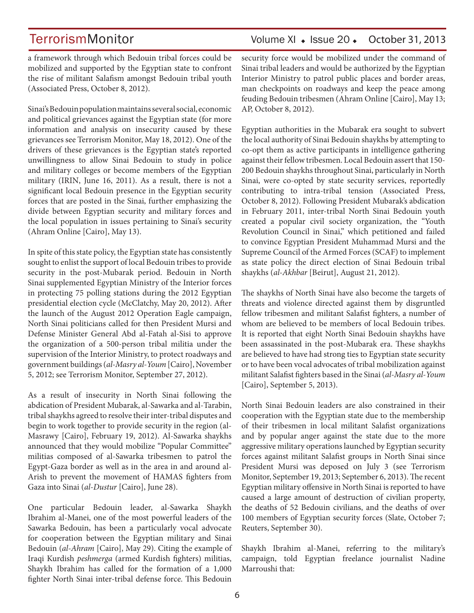## TerrorismMonitor Volume XI + Issue 20 + October 31, 2013

a framework through which Bedouin tribal forces could be mobilized and supported by the Egyptian state to confront the rise of militant Salafism amongst Bedouin tribal youth (Associated Press, October 8, 2012).

Sinai's Bedouin population maintains several social, economic and political grievances against the Egyptian state (for more information and analysis on insecurity caused by these grievances see Terrorism Monitor, May 18, 2012). One of the drivers of these grievances is the Egyptian state's reported unwillingness to allow Sinai Bedouin to study in police and military colleges or become members of the Egyptian military (IRIN, June 16, 2011). As a result, there is not a significant local Bedouin presence in the Egyptian security forces that are posted in the Sinai, further emphasizing the divide between Egyptian security and military forces and the local population in issues pertaining to Sinai's security (Ahram Online [Cairo], May 13).

In spite of this state policy, the Egyptian state has consistently sought to enlist the support of local Bedouin tribes to provide security in the post-Mubarak period. Bedouin in North Sinai supplemented Egyptian Ministry of the Interior forces in protecting 75 polling stations during the 2012 Egyptian presidential election cycle (McClatchy, May 20, 2012). After the launch of the August 2012 Operation Eagle campaign, North Sinai politicians called for then President Mursi and Defense Minister General Abd al-Fatah al-Sisi to approve the organization of a 500-person tribal militia under the supervision of the Interior Ministry, to protect roadways and government buildings (*al-Masry al-Youm* [Cairo], November 5, 2012; see Terrorism Monitor, September 27, 2012).

As a result of insecurity in North Sinai following the abdication of President Mubarak, al-Sawarka and al-Tarabin, tribal shaykhs agreed to resolve their inter-tribal disputes and begin to work together to provide security in the region (al-Masrawy [Cairo], February 19, 2012). Al-Sawarka shaykhs announced that they would mobilize "Popular Committee" militias composed of al-Sawarka tribesmen to patrol the Egypt-Gaza border as well as in the area in and around al-Arish to prevent the movement of HAMAS fighters from Gaza into Sinai (*al-Dustur* [Cairo], June 28).

One particular Bedouin leader, al-Sawarka Shaykh Ibrahim al-Manei, one of the most powerful leaders of the Sawarka Bedouin, has been a particularly vocal advocate for cooperation between the Egyptian military and Sinai Bedouin (*al-Ahram* [Cairo], May 29). Citing the example of Iraqi Kurdish *peshmerga* (armed Kurdish fighters) militias, Shaykh Ibrahim has called for the formation of a 1,000 fighter North Sinai inter-tribal defense force. This Bedouin

security force would be mobilized under the command of Sinai tribal leaders and would be authorized by the Egyptian Interior Ministry to patrol public places and border areas, man checkpoints on roadways and keep the peace among feuding Bedouin tribesmen (Ahram Online [Cairo], May 13; AP, October 8, 2012).

Egyptian authorities in the Mubarak era sought to subvert the local authority of Sinai Bedouin shaykhs by attempting to co-opt them as active participants in intelligence gathering against their fellow tribesmen. Local Bedouin assert that 150- 200 Bedouin shaykhs throughout Sinai, particularly in North Sinai, were co-opted by state security services, reportedly contributing to intra-tribal tension (Associated Press, October 8, 2012). Following President Mubarak's abdication in February 2011, inter-tribal North Sinai Bedouin youth created a popular civil society organization, the "Youth Revolution Council in Sinai," which petitioned and failed to convince Egyptian President Muhammad Mursi and the Supreme Council of the Armed Forces (SCAF) to implement as state policy the direct election of Sinai Bedouin tribal shaykhs (*al-Akhbar* [Beirut], August 21, 2012).

The shaykhs of North Sinai have also become the targets of threats and violence directed against them by disgruntled fellow tribesmen and militant Salafist fighters, a number of whom are believed to be members of local Bedouin tribes. It is reported that eight North Sinai Bedouin shaykhs have been assassinated in the post-Mubarak era. These shaykhs are believed to have had strong ties to Egyptian state security or to have been vocal advocates of tribal mobilization against militant Salafist fighters based in the Sinai (*al-Masry al-Youm* [Cairo], September 5, 2013).

North Sinai Bedouin leaders are also constrained in their cooperation with the Egyptian state due to the membership of their tribesmen in local militant Salafist organizations and by popular anger against the state due to the more aggressive military operations launched by Egyptian security forces against militant Salafist groups in North Sinai since President Mursi was deposed on July 3 (see Terrorism Monitor, September 19, 2013; September 6, 2013). The recent Egyptian military offensive in North Sinai is reported to have caused a large amount of destruction of civilian property, the deaths of 52 Bedouin civilians, and the deaths of over 100 members of Egyptian security forces (Slate, October 7; Reuters, September 30).

Shaykh Ibrahim al-Manei, referring to the military's campaign, told Egyptian freelance journalist Nadine Marroushi that: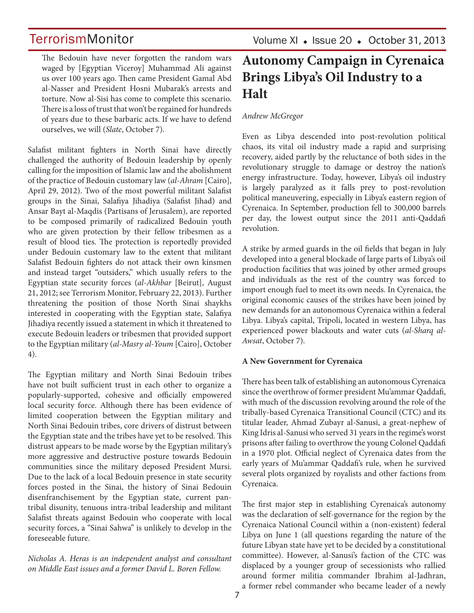The Bedouin have never forgotten the random wars waged by [Egyptian Viceroy] Muhammad Ali against us over 100 years ago. Then came President Gamal Abd al-Nasser and President Hosni Mubarak's arrests and torture. Now al-Sisi has come to complete this scenario. There is a loss of trust that won't be regained for hundreds of years due to these barbaric acts. If we have to defend ourselves, we will (*Slate*, October 7).

Salafist militant fighters in North Sinai have directly challenged the authority of Bedouin leadership by openly calling for the imposition of Islamic law and the abolishment of the practice of Bedouin customary law (*al-Ahram* [Cairo], April 29, 2012). Two of the most powerful militant Salafist groups in the Sinai, Salafiya Jihadiya (Salafist Jihad) and Ansar Bayt al-Maqdis (Partisans of Jerusalem), are reported to be composed primarily of radicalized Bedouin youth who are given protection by their fellow tribesmen as a result of blood ties. The protection is reportedly provided under Bedouin customary law to the extent that militant Salafist Bedouin fighters do not attack their own kinsmen and instead target "outsiders," which usually refers to the Egyptian state security forces (*al-Akhbar* [Beirut], August 21, 2012; see Terrorism Monitor, February 22, 2013). Further threatening the position of those North Sinai shaykhs interested in cooperating with the Egyptian state, Salafiya Jihadiya recently issued a statement in which it threatened to execute Bedouin leaders or tribesmen that provided support to the Egyptian military (*al-Masry al-Youm* [Cairo], October 4).

The Egyptian military and North Sinai Bedouin tribes have not built sufficient trust in each other to organize a popularly-supported, cohesive and officially empowered local security force. Although there has been evidence of limited cooperation between the Egyptian military and North Sinai Bedouin tribes, core drivers of distrust between the Egyptian state and the tribes have yet to be resolved. This distrust appears to be made worse by the Egyptian military's more aggressive and destructive posture towards Bedouin communities since the military deposed President Mursi. Due to the lack of a local Bedouin presence in state security forces posted in the Sinai, the history of Sinai Bedouin disenfranchisement by the Egyptian state, current pantribal disunity, tenuous intra-tribal leadership and militant Salafist threats against Bedouin who cooperate with local security forces, a "Sinai Sahwa" is unlikely to develop in the foreseeable future.

*Nicholas A. Heras is an independent analyst and consultant on Middle East issues and a former David L. Boren Fellow.*

## **Autonomy Campaign in Cyrenaica Brings Libya's Oil Industry to a Halt**

### *Andrew McGregor*

Even as Libya descended into post-revolution political chaos, its vital oil industry made a rapid and surprising recovery, aided partly by the reluctance of both sides in the revolutionary struggle to damage or destroy the nation's energy infrastructure. Today, however, Libya's oil industry is largely paralyzed as it falls prey to post-revolution political maneuvering, especially in Libya's eastern region of Cyrenaica. In September, production fell to 300,000 barrels per day, the lowest output since the 2011 anti-Qaddafi revolution.

A strike by armed guards in the oil fields that began in July developed into a general blockade of large parts of Libya's oil production facilities that was joined by other armed groups and individuals as the rest of the country was forced to import enough fuel to meet its own needs. In Cyrenaica, the original economic causes of the strikes have been joined by new demands for an autonomous Cyrenaica within a federal Libya. Libya's capital, Tripoli, located in western Libya, has experienced power blackouts and water cuts (*al-Sharq al-Awsat*, October 7).

### **A New Government for Cyrenaica**

There has been talk of establishing an autonomous Cyrenaica since the overthrow of former president Mu'ammar Qaddafi, with much of the discussion revolving around the role of the tribally-based Cyrenaica Transitional Council (CTC) and its titular leader, Ahmad Zubayr al-Sanusi, a great-nephew of King Idris al-Sanusi who served 31 years in the regime's worst prisons after failing to overthrow the young Colonel Qaddafi in a 1970 plot. Official neglect of Cyrenaica dates from the early years of Mu'ammar Qaddafi's rule, when he survived several plots organized by royalists and other factions from Cyrenaica.

The first major step in establishing Cyrenaica's autonomy was the declaration of self-governance for the region by the Cyrenaica National Council within a (non-existent) federal Libya on June 1 (all questions regarding the nature of the future Libyan state have yet to be decided by a constitutional committee). However, al-Sanusi's faction of the CTC was displaced by a younger group of secessionists who rallied around former militia commander Ibrahim al-Jadhran, a former rebel commander who became leader of a newly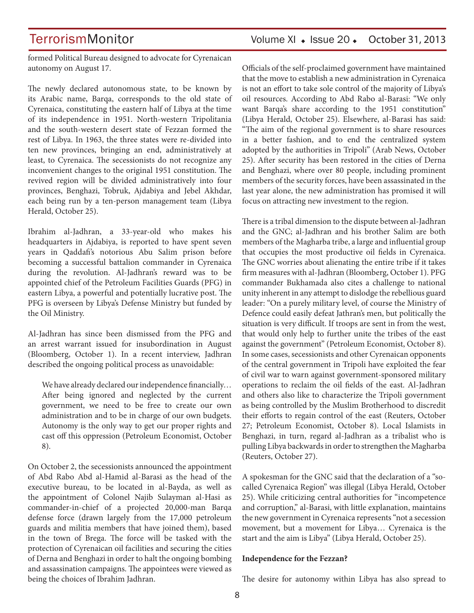formed Political Bureau designed to advocate for Cyrenaican autonomy on August 17.

The newly declared autonomous state, to be known by its Arabic name, Barqa, corresponds to the old state of Cyrenaica, constituting the eastern half of Libya at the time of its independence in 1951. North-western Tripolitania and the south-western desert state of Fezzan formed the rest of Libya. In 1963, the three states were re-divided into ten new provinces, bringing an end, administratively at least, to Cyrenaica. The secessionists do not recognize any inconvenient changes to the original 1951 constitution. The revived region will be divided administratively into four provinces, Benghazi, Tobruk, Ajdabiya and Jebel Akhdar, each being run by a ten-person management team (Libya Herald, October 25).

Ibrahim al-Jadhran, a 33-year-old who makes his headquarters in Ajdabiya, is reported to have spent seven years in Qaddafi's notorious Abu Salim prison before becoming a successful battalion commander in Cyrenaica during the revolution. Al-Jadhran's reward was to be appointed chief of the Petroleum Facilities Guards (PFG) in eastern Libya, a powerful and potentially lucrative post. The PFG is overseen by Libya's Defense Ministry but funded by the Oil Ministry.

Al-Jadhran has since been dismissed from the PFG and an arrest warrant issued for insubordination in August (Bloomberg, October 1). In a recent interview, Jadhran described the ongoing political process as unavoidable:

We have already declared our independence financially… After being ignored and neglected by the current government, we need to be free to create our own administration and to be in charge of our own budgets. Autonomy is the only way to get our proper rights and cast off this oppression (Petroleum Economist, October 8).

On October 2, the secessionists announced the appointment of Abd Rabo Abd al-Hamid al-Barasi as the head of the executive bureau, to be located in al-Bayda, as well as the appointment of Colonel Najib Sulayman al-Hasi as commander-in-chief of a projected 20,000-man Barqa defense force (drawn largely from the 17,000 petroleum guards and militia members that have joined them), based in the town of Brega. The force will be tasked with the protection of Cyrenaican oil facilities and securing the cities of Derna and Benghazi in order to halt the ongoing bombing and assassination campaigns. The appointees were viewed as being the choices of Ibrahim Jadhran.

TerrorismMonitor Volume XI + Issue 20 + October 31, 2013

Officials of the self-proclaimed government have maintained that the move to establish a new administration in Cyrenaica is not an effort to take sole control of the majority of Libya's oil resources. According to Abd Rabo al-Barasi: "We only want Barqa's share according to the 1951 constitution" (Libya Herald, October 25). Elsewhere, al-Barasi has said: "The aim of the regional government is to share resources in a better fashion, and to end the centralized system adopted by the authorities in Tripoli" (Arab News, October 25). After security has been restored in the cities of Derna and Benghazi, where over 80 people, including prominent members of the security forces, have been assassinated in the last year alone, the new administration has promised it will focus on attracting new investment to the region.

There is a tribal dimension to the dispute between al-Jadhran and the GNC; al-Jadhran and his brother Salim are both members of the Magharba tribe, a large and influential group that occupies the most productive oil fields in Cyrenaica. The GNC worries about alienating the entire tribe if it takes firm measures with al-Jadhran (Bloomberg, October 1). PFG commander Bukhamada also cites a challenge to national unity inherent in any attempt to dislodge the rebellious guard leader: "On a purely military level, of course the Ministry of Defence could easily defeat Jathran's men, but politically the situation is very difficult. If troops are sent in from the west, that would only help to further unite the tribes of the east against the government" (Petroleum Economist, October 8). In some cases, secessionists and other Cyrenaican opponents of the central government in Tripoli have exploited the fear of civil war to warn against government-sponsored military operations to reclaim the oil fields of the east. Al-Jadhran and others also like to characterize the Tripoli government as being controlled by the Muslim Brotherhood to discredit their efforts to regain control of the east (Reuters, October 27; Petroleum Economist, October 8). Local Islamists in Benghazi, in turn, regard al-Jadhran as a tribalist who is pulling Libya backwards in order to strengthen the Magharba (Reuters, October 27).

A spokesman for the GNC said that the declaration of a "socalled Cyrenaica Region" was illegal (Libya Herald, October 25). While criticizing central authorities for "incompetence and corruption," al-Barasi, with little explanation, maintains the new government in Cyrenaica represents "not a secession movement, but a movement for Libya… Cyrenaica is the start and the aim is Libya" (Libya Herald, October 25).

#### **Independence for the Fezzan?**

The desire for autonomy within Libya has also spread to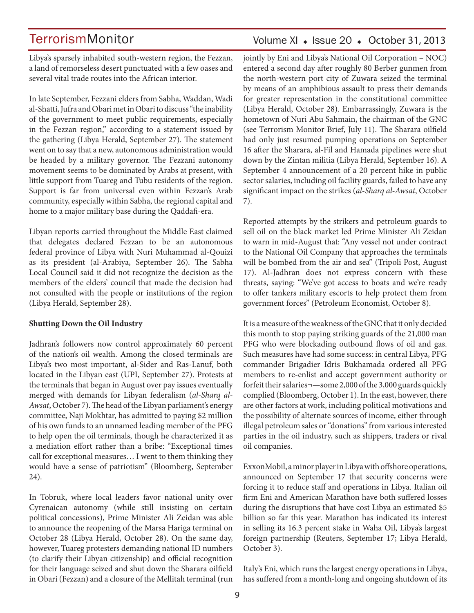Volume XI · Issue 20 · October 31, 2013

Libya's sparsely inhabited south-western region, the Fezzan, a land of remorseless desert punctuated with a few oases and several vital trade routes into the African interior.

In late September, Fezzani elders from Sabha, Waddan, Wadi al-Shatti, Jufra and Obari met in Obari to discuss "the inability of the government to meet public requirements, especially in the Fezzan region," according to a statement issued by the gathering (Libya Herald, September 27). The statement went on to say that a new, autonomous administration would be headed by a military governor. The Fezzani autonomy movement seems to be dominated by Arabs at present, with little support from Tuareg and Tubu residents of the region. Support is far from universal even within Fezzan's Arab community, especially within Sabha, the regional capital and home to a major military base during the Qaddafi-era.

Libyan reports carried throughout the Middle East claimed that delegates declared Fezzan to be an autonomous federal province of Libya with Nuri Muhammad al-Qouizi as its president (al-Arabiya, September 26). The Sabha Local Council said it did not recognize the decision as the members of the elders' council that made the decision had not consulted with the people or institutions of the region (Libya Herald, September 28).

### **Shutting Down the Oil Industry**

Jadhran's followers now control approximately 60 percent of the nation's oil wealth. Among the closed terminals are Libya's two most important, al-Sider and Ras-Lanuf, both located in the Libyan east (UPI, September 27). Protests at the terminals that began in August over pay issues eventually merged with demands for Libyan federalism (*al-Sharq al-Awsat*, October 7). The head of the Libyan parliament's energy committee, Naji Mokhtar, has admitted to paying \$2 million of his own funds to an unnamed leading member of the PFG to help open the oil terminals, though he characterized it as a mediation effort rather than a bribe: "Exceptional times call for exceptional measures… I went to them thinking they would have a sense of patriotism" (Bloomberg, September 24).

In Tobruk, where local leaders favor national unity over Cyrenaican autonomy (while still insisting on certain political concessions), Prime Minister Ali Zeidan was able to announce the reopening of the Marsa Hariga terminal on October 28 (Libya Herald, October 28). On the same day, however, Tuareg protesters demanding national ID numbers (to clarify their Libyan citizenship) and official recognition for their language seized and shut down the Sharara oilfield in Obari (Fezzan) and a closure of the Mellitah terminal (run jointly by Eni and Libya's National Oil Corporation – NOC) entered a second day after roughly 80 Berber gunmen from the north-western port city of Zuwara seized the terminal by means of an amphibious assault to press their demands for greater representation in the constitutional committee (Libya Herald, October 28). Embarrassingly, Zuwara is the hometown of Nuri Abu Sahmain, the chairman of the GNC (see Terrorism Monitor Brief, July 11). The Sharara oilfield had only just resumed pumping operations on September 16 after the Sharara, al-Fil and Hamada pipelines were shut down by the Zintan militia (Libya Herald, September 16). A September 4 announcement of a 20 percent hike in public sector salaries, including oil facility guards, failed to have any significant impact on the strikes (*al-Sharq al-Awsat*, October 7).

Reported attempts by the strikers and petroleum guards to sell oil on the black market led Prime Minister Ali Zeidan to warn in mid-August that: "Any vessel not under contract to the National Oil Company that approaches the terminals will be bombed from the air and sea" (Tripoli Post, August 17). Al-Jadhran does not express concern with these threats, saying: "We've got access to boats and we're ready to offer tankers military escorts to help protect them from government forces" (Petroleum Economist, October 8).

It is a measure of the weakness of the GNC that it only decided this month to stop paying striking guards of the 21,000 man PFG who were blockading outbound flows of oil and gas. Such measures have had some success: in central Libya, PFG commander Brigadier Idris Bukhamada ordered all PFG members to re-enlist and accept government authority or forfeit their salaries¬—some 2,000 of the 3,000 guards quickly complied (Bloomberg, October 1). In the east, however, there are other factors at work, including political motivations and the possibility of alternate sources of income, either through illegal petroleum sales or "donations" from various interested parties in the oil industry, such as shippers, traders or rival oil companies.

ExxonMobil, a minor player in Libya with offshore operations, announced on September 17 that security concerns were forcing it to reduce staff and operations in Libya. Italian oil firm Eni and American Marathon have both suffered losses during the disruptions that have cost Libya an estimated \$5 billion so far this year. Marathon has indicated its interest in selling its 16.3 percent stake in Waha Oil, Libya's largest foreign partnership (Reuters, September 17; Libya Herald, October 3).

Italy's Eni, which runs the largest energy operations in Libya, has suffered from a month-long and ongoing shutdown of its